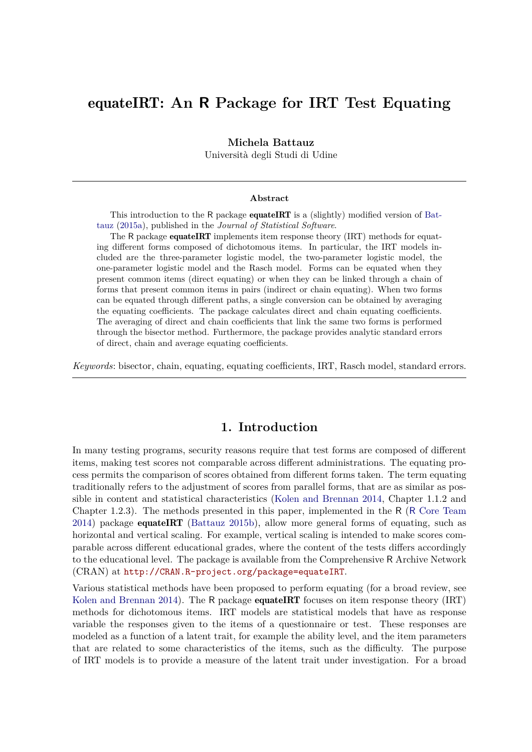# equateIRT**: An R Package for IRT Test Equating**

### **Michela Battauz**

Università degli Studi di Udine

#### **Abstract**

This introduction to the R package **equateIRT** is a (slightly) modified version of [Bat](#page-18-0)[tauz](#page-18-0) [\(2015a\)](#page-18-0), published in the *Journal of Statistical Software*.

The R package **equateIRT** implements item response theory (IRT) methods for equating different forms composed of dichotomous items. In particular, the IRT models included are the three-parameter logistic model, the two-parameter logistic model, the one-parameter logistic model and the Rasch model. Forms can be equated when they present common items (direct equating) or when they can be linked through a chain of forms that present common items in pairs (indirect or chain equating). When two forms can be equated through different paths, a single conversion can be obtained by averaging the equating coefficients. The package calculates direct and chain equating coefficients. The averaging of direct and chain coefficients that link the same two forms is performed through the bisector method. Furthermore, the package provides analytic standard errors of direct, chain and average equating coefficients.

*Keywords*: bisector, chain, equating, equating coefficients, IRT, Rasch model, standard errors.

# **1. Introduction**

In many testing programs, security reasons require that test forms are composed of different items, making test scores not comparable across different administrations. The equating process permits the comparison of scores obtained from different forms taken. The term equating traditionally refers to the adjustment of scores from parallel forms, that are as similar as possible in content and statistical characteristics [\(Kolen and Brennan 2014,](#page-18-1) Chapter 1.1.2 and Chapter 1.2.3). The methods presented in this paper, implemented in the R (R [Core Team](#page-19-0) [2014\)](#page-19-0) package equateIRT [\(Battauz 2015b\)](#page-18-2), allow more general forms of equating, such as horizontal and vertical scaling. For example, vertical scaling is intended to make scores comparable across different educational grades, where the content of the tests differs accordingly to the educational level. The package is available from the Comprehensive R Archive Network (CRAN) at <http://CRAN.R-project.org/package=equateIRT>.

Various statistical methods have been proposed to perform equating (for a broad review, see [Kolen and Brennan 2014\)](#page-18-1). The R package **equateIRT** focuses on item response theory (IRT) methods for dichotomous items. IRT models are statistical models that have as response variable the responses given to the items of a questionnaire or test. These responses are modeled as a function of a latent trait, for example the ability level, and the item parameters that are related to some characteristics of the items, such as the difficulty. The purpose of IRT models is to provide a measure of the latent trait under investigation. For a broad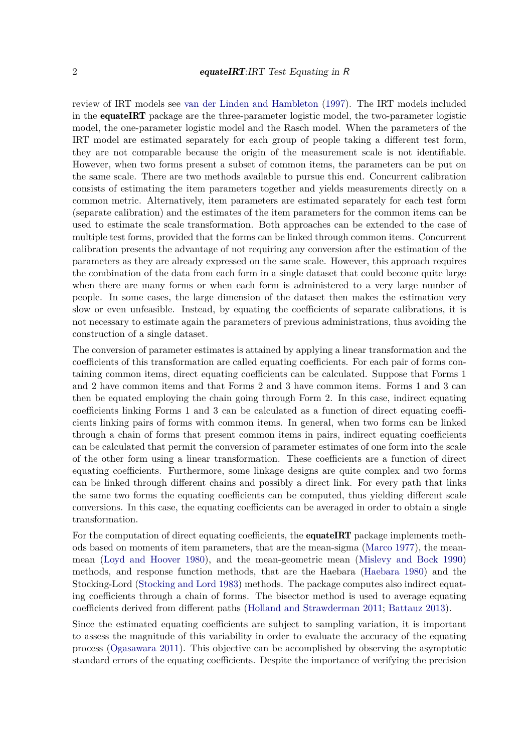review of IRT models see [van der Linden and Hambleton](#page-19-1) [\(1997\)](#page-19-1). The IRT models included in the equateIRT package are the three-parameter logistic model, the two-parameter logistic model, the one-parameter logistic model and the Rasch model. When the parameters of the IRT model are estimated separately for each group of people taking a different test form, they are not comparable because the origin of the measurement scale is not identifiable. However, when two forms present a subset of common items, the parameters can be put on the same scale. There are two methods available to pursue this end. Concurrent calibration consists of estimating the item parameters together and yields measurements directly on a common metric. Alternatively, item parameters are estimated separately for each test form (separate calibration) and the estimates of the item parameters for the common items can be used to estimate the scale transformation. Both approaches can be extended to the case of multiple test forms, provided that the forms can be linked through common items. Concurrent calibration presents the advantage of not requiring any conversion after the estimation of the parameters as they are already expressed on the same scale. However, this approach requires the combination of the data from each form in a single dataset that could become quite large when there are many forms or when each form is administered to a very large number of people. In some cases, the large dimension of the dataset then makes the estimation very slow or even unfeasible. Instead, by equating the coefficients of separate calibrations, it is not necessary to estimate again the parameters of previous administrations, thus avoiding the construction of a single dataset.

The conversion of parameter estimates is attained by applying a linear transformation and the coefficients of this transformation are called equating coefficients. For each pair of forms containing common items, direct equating coefficients can be calculated. Suppose that Forms 1 and 2 have common items and that Forms 2 and 3 have common items. Forms 1 and 3 can then be equated employing the chain going through Form 2. In this case, indirect equating coefficients linking Forms 1 and 3 can be calculated as a function of direct equating coefficients linking pairs of forms with common items. In general, when two forms can be linked through a chain of forms that present common items in pairs, indirect equating coefficients can be calculated that permit the conversion of parameter estimates of one form into the scale of the other form using a linear transformation. These coefficients are a function of direct equating coefficients. Furthermore, some linkage designs are quite complex and two forms can be linked through different chains and possibly a direct link. For every path that links the same two forms the equating coefficients can be computed, thus yielding different scale conversions. In this case, the equating coefficients can be averaged in order to obtain a single transformation.

For the computation of direct equating coefficients, the **equateIRT** package implements methods based on moments of item parameters, that are the mean-sigma [\(Marco 1977\)](#page-18-3), the meanmean [\(Loyd and Hoover 1980\)](#page-18-4), and the mean-geometric mean [\(Mislevy and Bock 1990\)](#page-18-5) methods, and response function methods, that are the Haebara [\(Haebara 1980\)](#page-18-6) and the Stocking-Lord [\(Stocking and Lord 1983\)](#page-19-2) methods. The package computes also indirect equating coefficients through a chain of forms. The bisector method is used to average equating coefficients derived from different paths [\(Holland and Strawderman 2011;](#page-18-7) [Battauz 2013\)](#page-18-8).

Since the estimated equating coefficients are subject to sampling variation, it is important to assess the magnitude of this variability in order to evaluate the accuracy of the equating process [\(Ogasawara 2011\)](#page-19-3). This objective can be accomplished by observing the asymptotic standard errors of the equating coefficients. Despite the importance of verifying the precision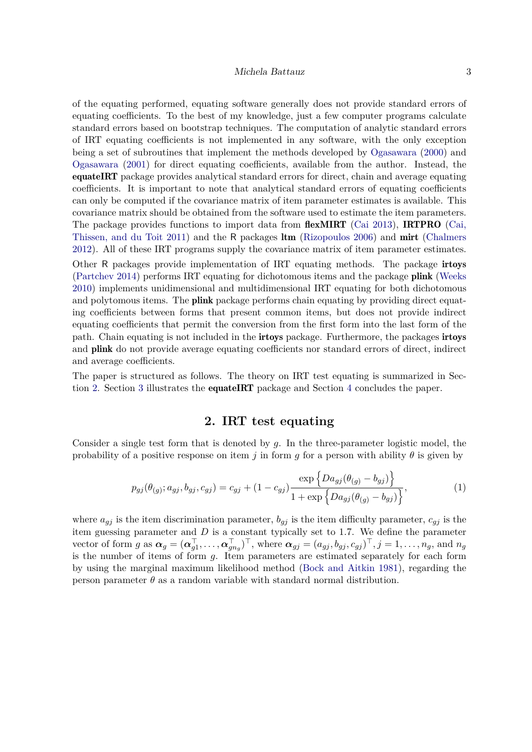#### Michela Battauz 3

of the equating performed, equating software generally does not provide standard errors of equating coefficients. To the best of my knowledge, just a few computer programs calculate standard errors based on bootstrap techniques. The computation of analytic standard errors of IRT equating coefficients is not implemented in any software, with the only exception being a set of subroutines that implement the methods developed by [Ogasawara](#page-18-9) [\(2000\)](#page-18-9) and [Ogasawara](#page-19-4) [\(2001\)](#page-19-4) for direct equating coefficients, available from the author. Instead, the equateIRT package provides analytical standard errors for direct, chain and average equating coefficients. It is important to note that analytical standard errors of equating coefficients can only be computed if the covariance matrix of item parameter estimates is available. This covariance matrix should be obtained from the software used to estimate the item parameters. The package provides functions to import data from **flexMIRT** [\(Cai 2013\)](#page-18-10), **IRTPRO** [\(Cai,](#page-18-11) [Thissen, and du Toit 2011\)](#page-18-11) and the R packages ltm [\(Rizopoulos 2006\)](#page-19-5) and mirt [\(Chalmers](#page-18-12) [2012\)](#page-18-12). All of these IRT programs supply the covariance matrix of item parameter estimates. Other R packages provide implementation of IRT equating methods. The package irtoys [\(Partchev 2014\)](#page-19-6) performs IRT equating for dichotomous items and the package plink [\(Weeks](#page-19-7) [2010\)](#page-19-7) implements unidimensional and multidimensional IRT equating for both dichotomous and polytomous items. The **plink** package performs chain equating by providing direct equating coefficients between forms that present common items, but does not provide indirect equating coefficients that permit the conversion from the first form into the last form of the path. Chain equating is not included in the irtoys package. Furthermore, the packages irtoys and plink do not provide average equating coefficients nor standard errors of direct, indirect and average coefficients.

The paper is structured as follows. The theory on IRT test equating is summarized in Section [2.](#page-2-0) Section [3](#page-6-0) illustrates the equateIRT package and Section [4](#page-17-0) concludes the paper.

## <span id="page-2-1"></span>**2. IRT test equating**

<span id="page-2-0"></span>Consider a single test form that is denoted by *g*. In the three-parameter logistic model, the probability of a positive response on item *j* in form *g* for a person with ability  $\theta$  is given by

$$
p_{gj}(\theta_{(g)}; a_{gj}, b_{gj}, c_{gj}) = c_{gj} + (1 - c_{gj}) \frac{\exp\{Da_{gj}(\theta_{(g)} - b_{gj})\}}{1 + \exp\{Da_{gj}(\theta_{(g)} - b_{gj})\}},
$$
(1)

where  $a_{gj}$  is the item discrimination parameter,  $b_{gj}$  is the item difficulty parameter,  $c_{gj}$  is the item guessing parameter and *D* is a constant typically set to 1.7. We define the parameter vector of form g as  $\boldsymbol{\alpha}_g = (\boldsymbol{\alpha}_{g1}^{\top}, \dots, \boldsymbol{\alpha}_{gn_g}^{\top})^{\top}$ , where  $\boldsymbol{\alpha}_{gg} = (a_{gg}, b_{gg}, c_{gg})^{\top}$ ,  $j = 1, \dots, n_g$ , and  $n_g$ is the number of items of form *g*. Item parameters are estimated separately for each form by using the marginal maximum likelihood method [\(Bock and Aitkin 1981\)](#page-18-13), regarding the person parameter  $\theta$  as a random variable with standard normal distribution.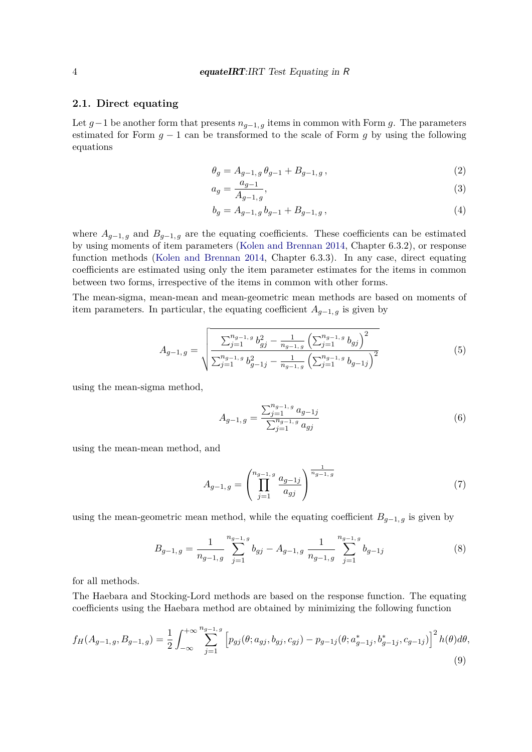### **2.1. Direct equating**

Let  $g-1$  be another form that presents  $n_{g-1,g}$  items in common with Form *g*. The parameters estimated for Form *g* − 1 can be transformed to the scale of Form *g* by using the following equations

$$
\theta_g = A_{g-1,g} \, \theta_{g-1} + B_{g-1,g} \,, \tag{2}
$$

$$
a_g = \frac{a_{g-1}}{A_{g-1,g}},
$$
\n(3)

$$
b_g = A_{g-1,g} b_{g-1} + B_{g-1,g}, \tag{4}
$$

where  $A_{g-1,g}$  and  $B_{g-1,g}$  are the equating coefficients. These coefficients can be estimated by using moments of item parameters [\(Kolen and Brennan 2014,](#page-18-1) Chapter 6.3.2), or response function methods [\(Kolen and Brennan 2014,](#page-18-1) Chapter 6.3.3). In any case, direct equating coefficients are estimated using only the item parameter estimates for the items in common between two forms, irrespective of the items in common with other forms.

The mean-sigma, mean-mean and mean-geometric mean methods are based on moments of item parameters. In particular, the equating coefficient  $A_{q-1,q}$  is given by

$$
A_{g-1,g} = \sqrt{\frac{\sum_{j=1}^{n_g-1,g} b_{gj}^2 - \frac{1}{n_g-1,g} \left(\sum_{j=1}^{n_g-1,g} b_{gj}\right)^2}{\sum_{j=1}^{n_g-1,g} b_{g-1j}^2 - \frac{1}{n_g-1,g} \left(\sum_{j=1}^{n_g-1,g} b_{g-1j}\right)^2}}
$$
(5)

using the mean-sigma method,

$$
A_{g-1,g} = \frac{\sum_{j=1}^{n_{g-1,g}} a_{g-1,j}}{\sum_{j=1}^{n_{g-1,g}} a_{gj}} \tag{6}
$$

using the mean-mean method, and

<span id="page-3-0"></span>
$$
A_{g-1,g} = \left(\prod_{j=1}^{n_{g-1,g}} \frac{a_{g-1,j}}{a_{gj}}\right)^{\frac{1}{n_{g-1,g}}} \tag{7}
$$

using the mean-geometric mean method, while the equating coefficient  $B_{g-1,g}$  is given by

$$
B_{g-1,g} = \frac{1}{n_{g-1,g}} \sum_{j=1}^{n_{g-1,g}} b_{gj} - A_{g-1,g} \frac{1}{n_{g-1,g}} \sum_{j=1}^{n_{g-1,g}} b_{g-1,j}
$$
(8)

for all methods.

The Haebara and Stocking-Lord methods are based on the response function. The equating coefficients using the Haebara method are obtained by minimizing the following function

$$
f_H(A_{g-1,g}, B_{g-1,g}) = \frac{1}{2} \int_{-\infty}^{+\infty} \sum_{j=1}^{n_{g-1,g}} \left[ p_{gj}(\theta; a_{gj}, b_{gj}, c_{gj}) - p_{g-1j}(\theta; a_{g-1j}^*, b_{g-1j}^*, c_{g-1j}) \right]^2 h(\theta) d\theta,
$$
\n(9)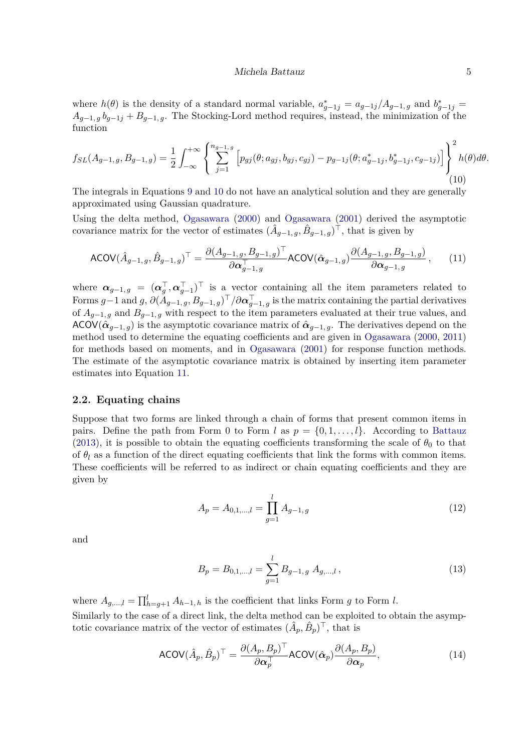#### <span id="page-4-1"></span>Michela Battauz 5

<span id="page-4-0"></span>where  $h(\theta)$  is the density of a standard normal variable,  $a_{g-1j}^* = a_{g-1j}/A_{g-1,g}$  and  $b_{g-1j}^* = a_{g-1j}/A_{g-1,g}$  $A_{g-1,g}$  *b*<sub>*g*−1*j*</sub> + *B*<sub>*g*−1*,g*. The Stocking-Lord method requires, instead, the minimization of the</sub> function

$$
f_{SL}(A_{g-1,g}, B_{g-1,g}) = \frac{1}{2} \int_{-\infty}^{+\infty} \left\{ \sum_{j=1}^{n_{g-1,g}} \left[ p_{gj}(\theta; a_{gj}, b_{gj}, c_{gj}) - p_{g-1j}(\theta; a_{g-1j}^*, b_{g-1j}^*, c_{g-1j}) \right] \right\}^2 h(\theta) d\theta.
$$
\n(10)

The integrals in Equations [9](#page-3-0) and [10](#page-4-0) do not have an analytical solution and they are generally approximated using Gaussian quadrature.

Using the delta method, [Ogasawara](#page-18-9) [\(2000\)](#page-18-9) and [Ogasawara](#page-19-4) [\(2001\)](#page-19-4) derived the asymptotic covariance matrix for the vector of estimates  $(\hat{A}_{g-1,g}, \hat{B}_{g-1,g})^{\dagger}$ , that is given by

$$
\text{ACOV}(\hat{A}_{g-1,g}, \hat{B}_{g-1,g})^{\top} = \frac{\partial (A_{g-1,g}, B_{g-1,g})^{\top}}{\partial \alpha_{g-1,g}^{\top}} \text{ACOV}(\hat{\alpha}_{g-1,g}) \frac{\partial (A_{g-1,g}, B_{g-1,g})}{\partial \alpha_{g-1,g}}, \quad (11)
$$

where  $\alpha_{g-1,g} = (\alpha_g^{\top}, \alpha_{g-1}^{\top})^{\top}$  is a vector containing all the item parameters related to  $\text{Forms } g-1 \text{ and } g, \partial (A_{g-1,g}, B_{g-1,g})^{\top}/\partial \boldsymbol{\alpha}_{g-1,g}^{\top}$  is the matrix containing the partial derivatives of  $A_{g-1,g}$  and  $B_{g-1,g}$  with respect to the item parameters evaluated at their true values, and ACOV( $\hat{\alpha}_{g-1,g}$ ) is the asymptotic covariance matrix of  $\hat{\alpha}_{g-1,g}$ . The derivatives depend on the method used to determine the equating coefficients and are given in [Ogasawara](#page-18-9) [\(2000,](#page-18-9) [2011\)](#page-19-3) for methods based on moments, and in [Ogasawara](#page-19-4) [\(2001\)](#page-19-4) for response function methods. The estimate of the asymptotic covariance matrix is obtained by inserting item parameter estimates into Equation [11.](#page-4-1)

### **2.2. Equating chains**

Suppose that two forms are linked through a chain of forms that present common items in pairs. Define the path from Form 0 to Form *l* as  $p = \{0, 1, \ldots, l\}$ . According to [Battauz](#page-18-8) [\(2013\)](#page-18-8), it is possible to obtain the equating coefficients transforming the scale of  $\theta_0$  to that of  $\theta_l$  as a function of the direct equating coefficients that link the forms with common items. These coefficients will be referred to as indirect or chain equating coefficients and they are given by

$$
A_p = A_{0,1,\dots,l} = \prod_{g=1}^{l} A_{g-1,g}
$$
\n(12)

and

<span id="page-4-2"></span>
$$
B_p = B_{0,1,\dots,l} = \sum_{g=1}^{l} B_{g-1,g} A_{g,\dots,l},
$$
\n(13)

where  $A_{g,\dots,l} = \prod_{h=g+1}^{l} A_{h-1,h}$  is the coefficient that links Form *g* to Form *l*. Similarly to the case of a direct link, the delta method can be exploited to obtain the asymptotic covariance matrix of the vector of estimates  $(\hat{A}_p, \hat{B}_p)^\top$ , that is

$$
\text{ACOV}(\hat{A}_p, \hat{B}_p)^\top = \frac{\partial (A_p, B_p)^\top}{\partial \alpha_p^\top} \text{ACOV}(\hat{\alpha}_p) \frac{\partial (A_p, B_p)}{\partial \alpha_p},\tag{14}
$$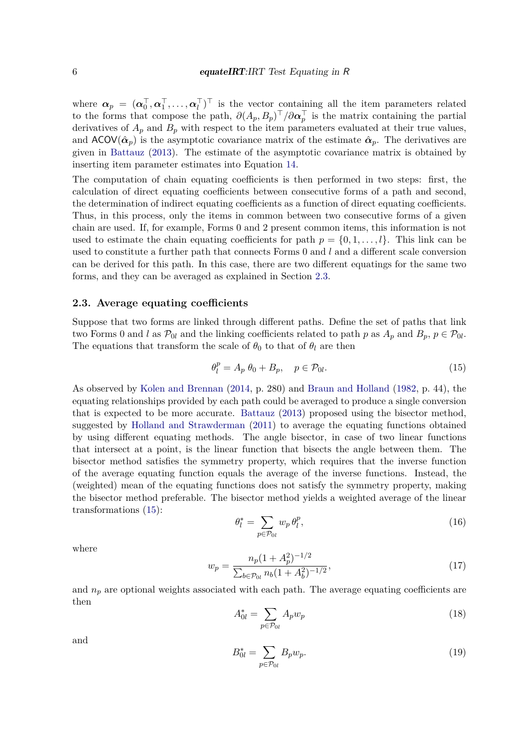where  $\boldsymbol{\alpha}_p = (\boldsymbol{\alpha}_0^{\top}, \boldsymbol{\alpha}_1^{\top}, \dots, \boldsymbol{\alpha}_l^{\top})^{\top}$  is the vector containing all the item parameters related to the forms that compose the path,  $\partial(A_p, B_p)^\top/\partial \alpha_p^\top$  is the matrix containing the partial derivatives of  $A_p$  and  $B_p$  with respect to the item parameters evaluated at their true values, and  $ACOV(\hat{\alpha}_p)$  is the asymptotic covariance matrix of the estimate  $\hat{\alpha}_p$ . The derivatives are given in [Battauz](#page-18-8) [\(2013\)](#page-18-8). The estimate of the asymptotic covariance matrix is obtained by inserting item parameter estimates into Equation [14.](#page-4-2)

The computation of chain equating coefficients is then performed in two steps: first, the calculation of direct equating coefficients between consecutive forms of a path and second, the determination of indirect equating coefficients as a function of direct equating coefficients. Thus, in this process, only the items in common between two consecutive forms of a given chain are used. If, for example, Forms 0 and 2 present common items, this information is not used to estimate the chain equating coefficients for path  $p = \{0, 1, \ldots, l\}$ . This link can be used to constitute a further path that connects Forms 0 and *l* and a different scale conversion can be derived for this path. In this case, there are two different equatings for the same two forms, and they can be averaged as explained in Section [2.3.](#page-5-0)

### <span id="page-5-0"></span>**2.3. Average equating coefficients**

Suppose that two forms are linked through different paths. Define the set of paths that link two Forms 0 and *l* as  $\mathcal{P}_{0l}$  and the linking coefficients related to path *p* as  $A_p$  and  $B_p$ ,  $p \in \mathcal{P}_{0l}$ . The equations that transform the scale of  $\theta_0$  to that of  $\theta_l$  are then

<span id="page-5-1"></span>
$$
\theta_l^p = A_p \ \theta_0 + B_p, \quad p \in \mathcal{P}_{0l}.\tag{15}
$$

As observed by [Kolen and Brennan](#page-18-1) [\(2014,](#page-18-1) p. 280) and [Braun and Holland](#page-18-14) [\(1982,](#page-18-14) p. 44), the equating relationships provided by each path could be averaged to produce a single conversion that is expected to be more accurate. [Battauz](#page-18-8) [\(2013\)](#page-18-8) proposed using the bisector method, suggested by [Holland and Strawderman](#page-18-7) [\(2011\)](#page-18-7) to average the equating functions obtained by using different equating methods. The angle bisector, in case of two linear functions that intersect at a point, is the linear function that bisects the angle between them. The bisector method satisfies the symmetry property, which requires that the inverse function of the average equating function equals the average of the inverse functions. Instead, the (weighted) mean of the equating functions does not satisfy the symmetry property, making the bisector method preferable. The bisector method yields a weighted average of the linear transformations [\(15\)](#page-5-1):

$$
\theta_l^* = \sum_{p \in \mathcal{P}_{0l}} w_p \,\theta_l^p,\tag{16}
$$

where

$$
w_p = \frac{n_p(1 + A_p^2)^{-1/2}}{\sum_{b \in \mathcal{P}_{0l}} n_b(1 + A_b^2)^{-1/2}},\tag{17}
$$

and  $n_p$  are optional weights associated with each path. The average equating coefficients are then

$$
A_{0l}^* = \sum_{p \in \mathcal{P}_{0l}} A_p w_p \tag{18}
$$

and

$$
B_{0l}^* = \sum_{p \in \mathcal{P}_{0l}} B_p w_p. \tag{19}
$$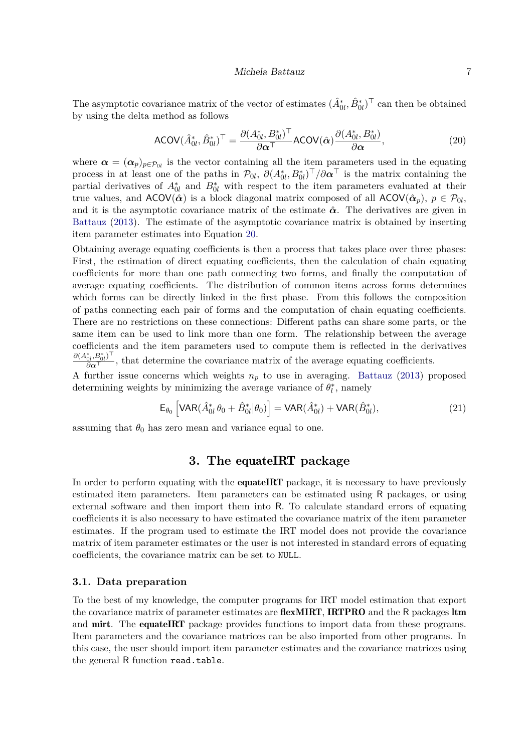#### <span id="page-6-1"></span>Michela Battauz 7

The asymptotic covariance matrix of the vector of estimates  $(\hat{A}_{0l}^*, \hat{B}_{0l}^*)^{\top}$  can then be obtained by using the delta method as follows

$$
\text{ACOV}(\hat{A}_{0l}^*, \hat{B}_{0l}^*)^\top = \frac{\partial (A_{0l}^*, B_{0l}^*)^\top}{\partial \alpha^\top} \text{ACOV}(\hat{\alpha}) \frac{\partial (A_{0l}^*, B_{0l}^*)}{\partial \alpha},\tag{20}
$$

where  $\alpha = (\alpha_p)_{p \in \mathcal{P}_{0l}}$  is the vector containing all the item parameters used in the equating process in at least one of the paths in  $\mathcal{P}_{0l}$ ,  $\partial (A_{0l}^*, B_{0l}^*)^\top / \partial \alpha^\top$  is the matrix containing the partial derivatives of  $A_{0l}^*$  and  $B_{0l}^*$  with respect to the item parameters evaluated at their true values, and  $ACOV(\hat{\alpha})$  is a block diagonal matrix composed of all  $ACOV(\hat{\alpha}_p)$ ,  $p \in \mathcal{P}_{0l}$ , and it is the asymptotic covariance matrix of the estimate  $\hat{\alpha}$ . The derivatives are given in [Battauz](#page-18-8) [\(2013\)](#page-18-8). The estimate of the asymptotic covariance matrix is obtained by inserting item parameter estimates into Equation [20.](#page-6-1)

Obtaining average equating coefficients is then a process that takes place over three phases: First, the estimation of direct equating coefficients, then the calculation of chain equating coefficients for more than one path connecting two forms, and finally the computation of average equating coefficients. The distribution of common items across forms determines which forms can be directly linked in the first phase. From this follows the composition of paths connecting each pair of forms and the computation of chain equating coefficients. There are no restrictions on these connections: Different paths can share some parts, or the same item can be used to link more than one form. The relationship between the average coefficients and the item parameters used to compute them is reflected in the derivatives  $\frac{\partial (A_{0l}^*, B_{0l}^*)^\top}{\partial \alpha^\top}$ , that determine the covariance matrix of the average equating coefficients.

A further issue concerns which weights  $n_p$  to use in averaging. [Battauz](#page-18-8) [\(2013\)](#page-18-8) proposed determining weights by minimizing the average variance of  $\theta_l^*$  $\mathbf{I}^*$ , namely

$$
\mathsf{E}_{\theta_0} \left[ \mathsf{VAR} (\hat{A}_{0l}^* \theta_0 + \hat{B}_{0l}^* | \theta_0) \right] = \mathsf{VAR} (\hat{A}_{0l}^*) + \mathsf{VAR} (\hat{B}_{0l}^*), \tag{21}
$$

assuming that  $\theta_0$  has zero mean and variance equal to one.

### <span id="page-6-2"></span>**3. The** equateIRT **package**

<span id="page-6-0"></span>In order to perform equating with the **equateIRT** package, it is necessary to have previously estimated item parameters. Item parameters can be estimated using R packages, or using external software and then import them into R. To calculate standard errors of equating coefficients it is also necessary to have estimated the covariance matrix of the item parameter estimates. If the program used to estimate the IRT model does not provide the covariance matrix of item parameter estimates or the user is not interested in standard errors of equating coefficients, the covariance matrix can be set to NULL.

### **3.1. Data preparation**

To the best of my knowledge, the computer programs for IRT model estimation that export the covariance matrix of parameter estimates are **flexMIRT**, **IRTPRO** and the R packages **ltm** and **mirt**. The **equateIRT** package provides functions to import data from these programs. Item parameters and the covariance matrices can be also imported from other programs. In this case, the user should import item parameter estimates and the covariance matrices using the general R function read.table.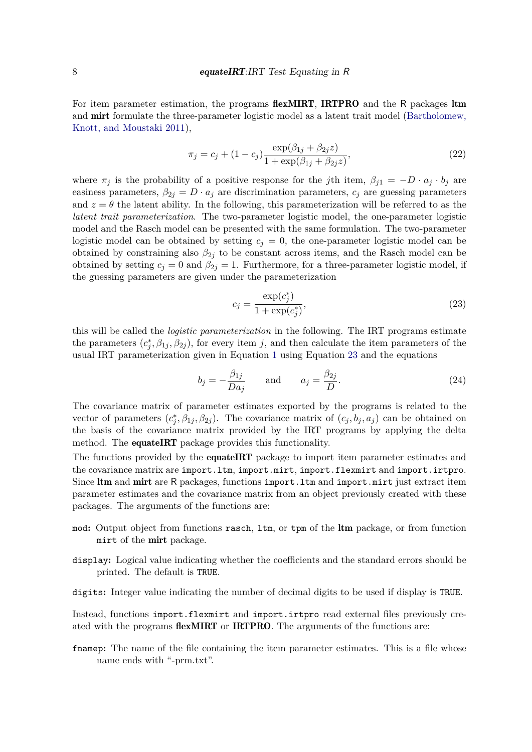For item parameter estimation, the programs **flexMIRT**, **IRTPRO** and the R packages **ltm** and mirt formulate the three-parameter logistic model as a latent trait model [\(Bartholomew,](#page-17-1) [Knott, and Moustaki 2011\)](#page-17-1),

<span id="page-7-1"></span>
$$
\pi_j = c_j + (1 - c_j) \frac{\exp(\beta_{1j} + \beta_{2j} z)}{1 + \exp(\beta_{1j} + \beta_{2j} z)},
$$
\n(22)

where  $\pi_j$  is the probability of a positive response for the *j*th item,  $\beta_{j1} = -D \cdot a_j \cdot b_j$  are easiness parameters,  $\beta_{2j} = D \cdot a_j$  are discrimination parameters,  $c_j$  are guessing parameters and  $z = \theta$  the latent ability. In the following, this parameterization will be referred to as the *latent trait parameterization*. The two-parameter logistic model, the one-parameter logistic model and the Rasch model can be presented with the same formulation. The two-parameter logistic model can be obtained by setting  $c_j = 0$ , the one-parameter logistic model can be obtained by constraining also  $\beta_{2j}$  to be constant across items, and the Rasch model can be obtained by setting  $c_j = 0$  and  $\beta_{2j} = 1$ . Furthermore, for a three-parameter logistic model, if the guessing parameters are given under the parameterization

<span id="page-7-0"></span>
$$
c_j = \frac{\exp(c_j^*)}{1 + \exp(c_j^*)},
$$
\n(23)

this will be called the *logistic parameterization* in the following. The IRT programs estimate the parameters  $(c_i^*$  $j^*$ ,  $\beta_{1j}$ ,  $\beta_{2j}$ ), for every item *j*, and then calculate the item parameters of the usual IRT parameterization given in Equation [1](#page-2-1) using Equation [23](#page-7-0) and the equations

$$
b_j = -\frac{\beta_{1j}}{Da_j} \quad \text{and} \quad a_j = \frac{\beta_{2j}}{D}.
$$
 (24)

The covariance matrix of parameter estimates exported by the programs is related to the vector of parameters  $(c_i^*)$  $j^*$ ,  $\beta_{1j}$ ,  $\beta_{2j}$ ). The covariance matrix of  $(c_j, b_j, a_j)$  can be obtained on the basis of the covariance matrix provided by the IRT programs by applying the delta method. The **equateIRT** package provides this functionality.

The functions provided by the **equateIRT** package to import item parameter estimates and the covariance matrix are import.ltm, import.mirt, import.flexmirt and import.irtpro. Since ltm and mirt are R packages, functions import. Itm and import.mirt just extract item parameter estimates and the covariance matrix from an object previously created with these packages. The arguments of the functions are:

- mod**:** Output object from functions rasch, ltm, or tpm of the ltm package, or from function mirt of the mirt package.
- display**:** Logical value indicating whether the coefficients and the standard errors should be printed. The default is TRUE.
- digits**:** Integer value indicating the number of decimal digits to be used if display is TRUE.

Instead, functions import.flexmirt and import.irtpro read external files previously created with the programs flexMIRT or IRTPRO. The arguments of the functions are:

framep: The name of the file containing the item parameter estimates. This is a file whose name ends with "-prm.txt".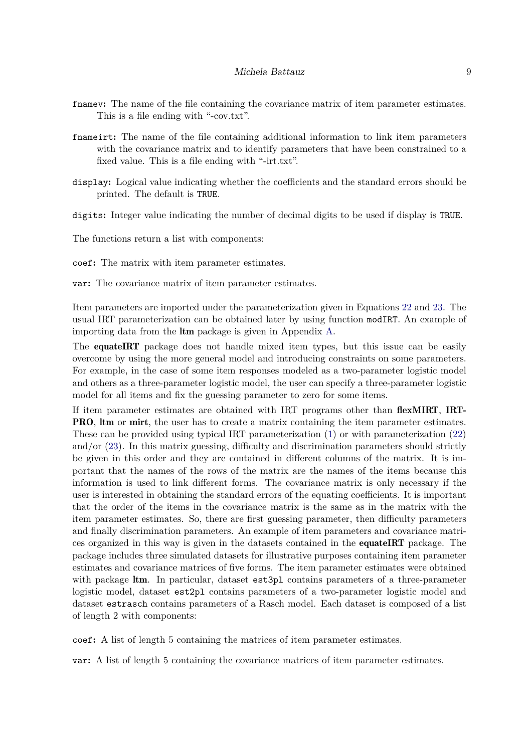- framev: The name of the file containing the covariance matrix of item parameter estimates. This is a file ending with "-cov.txt".
- fnameirt**:** The name of the file containing additional information to link item parameters with the covariance matrix and to identify parameters that have been constrained to a fixed value. This is a file ending with "-irt.txt".
- display**:** Logical value indicating whether the coefficients and the standard errors should be printed. The default is TRUE.

digits**:** Integer value indicating the number of decimal digits to be used if display is TRUE.

The functions return a list with components:

coef**:** The matrix with item parameter estimates.

var**:** The covariance matrix of item parameter estimates.

Item parameters are imported under the parameterization given in Equations [22](#page-7-1) and [23.](#page-7-0) The usual IRT parameterization can be obtained later by using function modIRT. An example of importing data from the ltm package is given in Appendix [A.](#page-20-0)

The **equateIRT** package does not handle mixed item types, but this issue can be easily overcome by using the more general model and introducing constraints on some parameters. For example, in the case of some item responses modeled as a two-parameter logistic model and others as a three-parameter logistic model, the user can specify a three-parameter logistic model for all items and fix the guessing parameter to zero for some items.

If item parameter estimates are obtained with IRT programs other than flexMIRT, IRT-PRO, ltm or mirt, the user has to create a matrix containing the item parameter estimates. These can be provided using typical IRT parameterization [\(1\)](#page-2-1) or with parameterization [\(22\)](#page-7-1) and/or  $(23)$ . In this matrix guessing, difficulty and discrimination parameters should strictly be given in this order and they are contained in different columns of the matrix. It is important that the names of the rows of the matrix are the names of the items because this information is used to link different forms. The covariance matrix is only necessary if the user is interested in obtaining the standard errors of the equating coefficients. It is important that the order of the items in the covariance matrix is the same as in the matrix with the item parameter estimates. So, there are first guessing parameter, then difficulty parameters and finally discrimination parameters. An example of item parameters and covariance matrices organized in this way is given in the datasets contained in the equateIRT package. The package includes three simulated datasets for illustrative purposes containing item parameter estimates and covariance matrices of five forms. The item parameter estimates were obtained with package ltm. In particular, dataset est3pl contains parameters of a three-parameter logistic model, dataset est2pl contains parameters of a two-parameter logistic model and dataset estrasch contains parameters of a Rasch model. Each dataset is composed of a list of length 2 with components:

coef**:** A list of length 5 containing the matrices of item parameter estimates.

var**:** A list of length 5 containing the covariance matrices of item parameter estimates.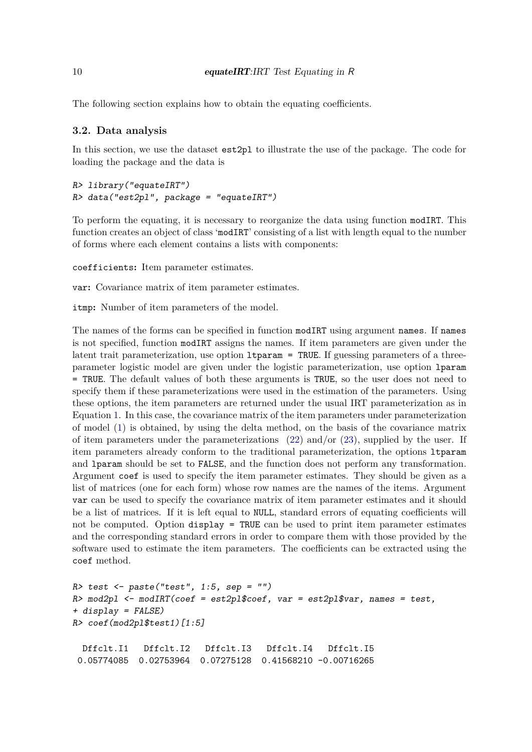The following section explains how to obtain the equating coefficients.

### **3.2. Data analysis**

In this section, we use the dataset est2pl to illustrate the use of the package. The code for loading the package and the data is

```
R> library("equateIRT")
R> data("est2pl", package = "equateIRT")
```
To perform the equating, it is necessary to reorganize the data using function modIRT. This function creates an object of class 'modIRT' consisting of a list with length equal to the number of forms where each element contains a lists with components:

coefficients**:** Item parameter estimates.

var**:** Covariance matrix of item parameter estimates.

itmp**:** Number of item parameters of the model.

The names of the forms can be specified in function modIRT using argument names. If names is not specified, function modIRT assigns the names. If item parameters are given under the latent trait parameterization, use option ltparam = TRUE. If guessing parameters of a threeparameter logistic model are given under the logistic parameterization, use option lparam = TRUE. The default values of both these arguments is TRUE, so the user does not need to specify them if these parameterizations were used in the estimation of the parameters. Using these options, the item parameters are returned under the usual IRT parameterization as in Equation [1.](#page-2-1) In this case, the covariance matrix of the item parameters under parameterization of model [\(1\)](#page-2-1) is obtained, by using the delta method, on the basis of the covariance matrix of item parameters under the parameterizations  $(22)$  and/or  $(23)$ , supplied by the user. If item parameters already conform to the traditional parameterization, the options ltparam and lparam should be set to FALSE, and the function does not perform any transformation. Argument coef is used to specify the item parameter estimates. They should be given as a list of matrices (one for each form) whose row names are the names of the items. Argument var can be used to specify the covariance matrix of item parameter estimates and it should be a list of matrices. If it is left equal to NULL, standard errors of equating coefficients will not be computed. Option display = TRUE can be used to print item parameter estimates and the corresponding standard errors in order to compare them with those provided by the software used to estimate the item parameters. The coefficients can be extracted using the coef method.

```
R> test <- paste("test", 1:5, sep = "")
R> mod2pl <- modIRT(coef = est2pl$coef, var = est2pl$var, names = test,
+ display = FALSE)
R> coef(mod2pl$test1)[1:5]
 Dffclt.I1 Dffclt.I2 Dffclt.I3 Dffclt.I4 Dffclt.I5
0.05774085 0.02753964 0.07275128 0.41568210 -0.00716265
```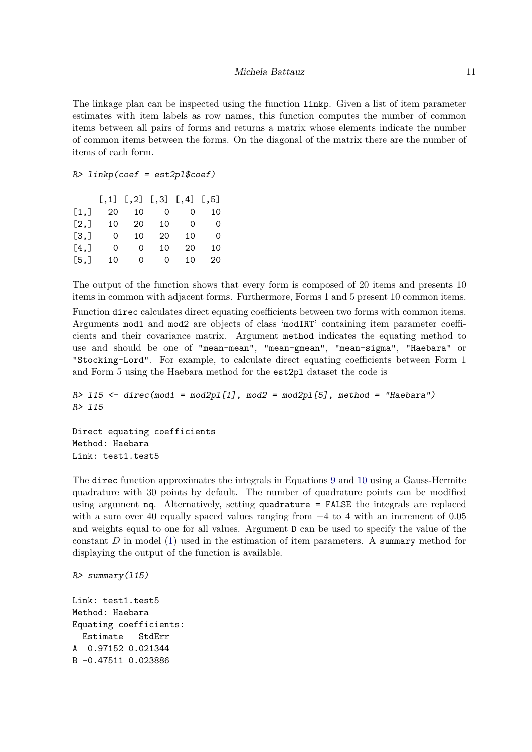The linkage plan can be inspected using the function linkp. Given a list of item parameter estimates with item labels as row names, this function computes the number of common items between all pairs of forms and returns a matrix whose elements indicate the number of common items between the forms. On the diagonal of the matrix there are the number of items of each form.

```
R> linkp(coef = est2pl$coef)
```

|      |    |          | $[, 1]$ $[, 2]$ $[, 3]$ $[, 4]$ $[, 5]$ |    |    |
|------|----|----------|-----------------------------------------|----|----|
| [1,] | 20 | 10       | $\overline{0}$                          | 0  | 10 |
| [2,] | 10 | 20       | 10                                      | 0  | Ω  |
| [3,] | 0  | 10       | 20                                      | 10 | 0  |
| [4,] | 0  | 0        | 10                                      | 20 | 10 |
| [5,] | 10 | $\Omega$ | 0                                       | 10 | 20 |

The output of the function shows that every form is composed of 20 items and presents 10 items in common with adjacent forms. Furthermore, Forms 1 and 5 present 10 common items. Function direc calculates direct equating coefficients between two forms with common items. Arguments mod1 and mod2 are objects of class 'modIRT' containing item parameter coefficients and their covariance matrix. Argument method indicates the equating method to use and should be one of "mean-mean", "mean-gmean", "mean-sigma", "Haebara" or "Stocking-Lord". For example, to calculate direct equating coefficients between Form 1 and Form 5 using the Haebara method for the est2pl dataset the code is

```
R> l15 <- direc(mod1 = mod2pl[1], mod2 = mod2pl[5], method = "Haebara")
R> l15
```
Direct equating coefficients Method: Haebara Link: test1.test5

The direc function approximates the integrals in Equations [9](#page-3-0) and [10](#page-4-0) using a Gauss-Hermite quadrature with 30 points by default. The number of quadrature points can be modified using argument nq. Alternatively, setting quadrature = FALSE the integrals are replaced with a sum over 40 equally spaced values ranging from  $-4$  to 4 with an increment of 0.05 and weights equal to one for all values. Argument D can be used to specify the value of the constant *D* in model [\(1\)](#page-2-1) used in the estimation of item parameters. A summary method for displaying the output of the function is available.

```
R> summary(l15)
```

```
Link: test1.test5
Method: Haebara
Equating coefficients:
  Estimate StdErr
A 0.97152 0.021344
B -0.47511 0.023886
```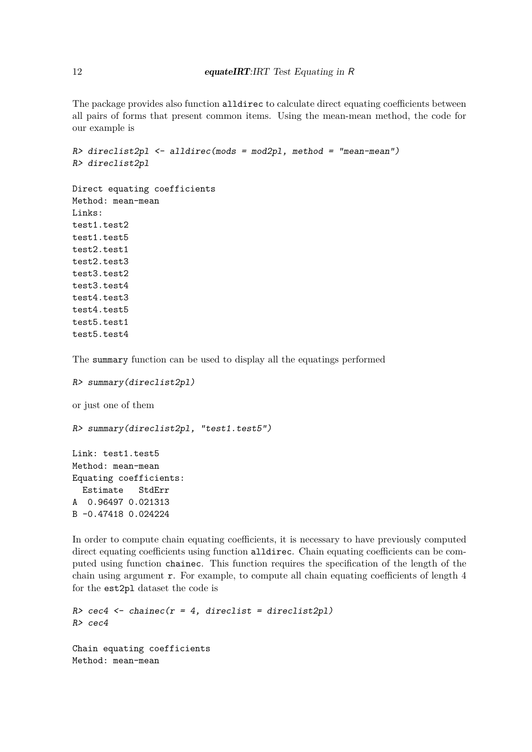The package provides also function alldirec to calculate direct equating coefficients between all pairs of forms that present common items. Using the mean-mean method, the code for our example is

```
R> direclist2pl <- alldirec(mods = mod2pl, method = "mean-mean")
R> direclist2pl
Direct equating coefficients
Method: mean-mean
Links:
test1.test2
test1.test5
test2.test1
test2.test3
test3.test2
test3.test4
test4.test3
test4.test5
test5.test1
test5.test4
```
The summary function can be used to display all the equatings performed

```
R> summary(direclist2pl)
or just one of them
R> summary(direclist2pl, "test1.test5")
Link: test1.test5
Method: mean-mean
Equating coefficients:
  Estimate StdErr
A 0.96497 0.021313
B -0.47418 0.024224
```
In order to compute chain equating coefficients, it is necessary to have previously computed direct equating coefficients using function alldirec. Chain equating coefficients can be computed using function chainec. This function requires the specification of the length of the chain using argument r. For example, to compute all chain equating coefficients of length 4 for the est2pl dataset the code is

```
R> cec4 <- chainec(r = 4, direclist = direclist2pl)
R> cec4
Chain equating coefficients
Method: mean-mean
```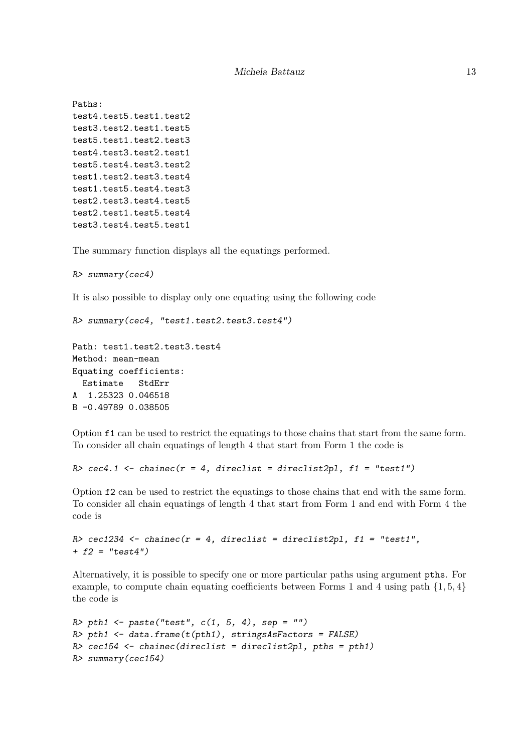```
Paths:
test4.test5.test1.test2
test3.test2.test1.test5
test5.test1.test2.test3
test4.test3.test2.test1
test5.test4.test3.test2
test1.test2.test3.test4
test1.test5.test4.test3
test2.test3.test4.test5
test2.test1.test5.test4
test3.test4.test5.test1
```
The summary function displays all the equatings performed.

```
R> summary(cec4)
```
It is also possible to display only one equating using the following code

```
R> summary(cec4, "test1.test2.test3.test4")
```

```
Path: test1.test2.test3.test4
Method: mean-mean
Equating coefficients:
 Estimate StdErr
A 1.25323 0.046518
B -0.49789 0.038505
```
Option f1 can be used to restrict the equatings to those chains that start from the same form. To consider all chain equatings of length 4 that start from Form 1 the code is

```
R> cec4.1 <- chainec(r = 4, direclist = direclist2pl, f1 = "test1")
```
Option f2 can be used to restrict the equatings to those chains that end with the same form. To consider all chain equatings of length 4 that start from Form 1 and end with Form 4 the code is

```
R> cec1234 <- chainec(r = 4, direclist = direclist2pl, f1 = "test1",
+ f2 = "test4")
```
Alternatively, it is possible to specify one or more particular paths using argument pths. For example, to compute chain equating coefficients between Forms 1 and 4 using path  $\{1, 5, 4\}$ the code is

```
R> pth1 <- paste("test", c(1, 5, 4), sep = "")
R> pth1 <- data.frame(t(pth1), stringsAsFactors = FALSE)
R> cec154 <- chainec(direclist = direclist2pl, pths = pth1)
R> summary(cec154)
```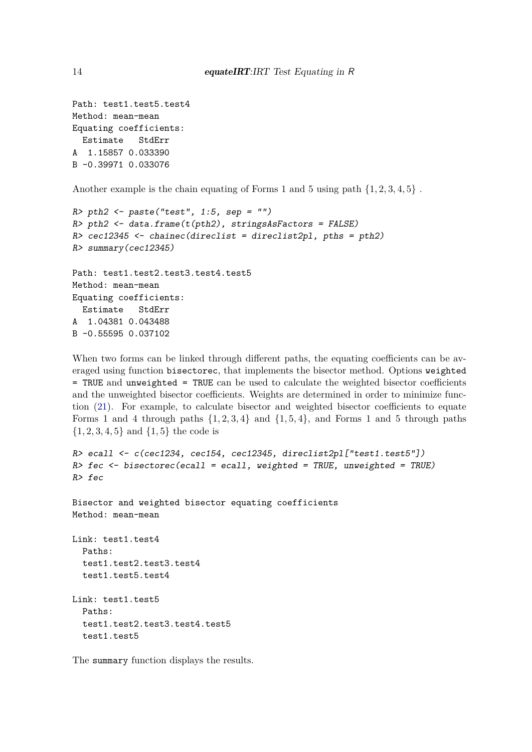```
Path: test1.test5.test4
Method: mean-mean
Equating coefficients:
 Estimate StdErr
A 1.15857 0.033390
B -0.39971 0.033076
```
Another example is the chain equating of Forms 1 and 5 using path {1*,* 2*,* 3*,* 4*,* 5} .

```
R> pth2 <- paste("test", 1:5, sep = "")
R> pth2 <- data.frame(t(pth2), stringsAsFactors = FALSE)
R> cec12345 <- chainec(direclist = direclist2pl, pths = pth2)
R> summary(cec12345)
Path: test1.test2.test3.test4.test5
Method: mean-mean
Equating coefficients:
 Estimate StdErr
A 1.04381 0.043488
B -0.55595 0.037102
```
When two forms can be linked through different paths, the equating coefficients can be averaged using function bisectorec, that implements the bisector method. Options weighted = TRUE and unweighted = TRUE can be used to calculate the weighted bisector coefficients and the unweighted bisector coefficients. Weights are determined in order to minimize function [\(21\)](#page-6-2). For example, to calculate bisector and weighted bisector coefficients to equate Forms 1 and 4 through paths  $\{1, 2, 3, 4\}$  and  $\{1, 5, 4\}$ , and Forms 1 and 5 through paths {1*,* 2*,* 3*,* 4*,* 5} and {1*,* 5} the code is

```
R> ecall <- c(cec1234, cec154, cec12345, direclist2pl["test1.test5"])
R> fec <- bisectorec(ecall = ecall, weighted = TRUE, unweighted = TRUE)
R> fec
Bisector and weighted bisector equating coefficients
Method: mean-mean
Link: test1.test4
  Paths:
  test1.test2.test3.test4
  test1.test5.test4
Link: test1.test5
  Paths:
  test1.test2.test3.test4.test5
  test1.test5
```
The summary function displays the results.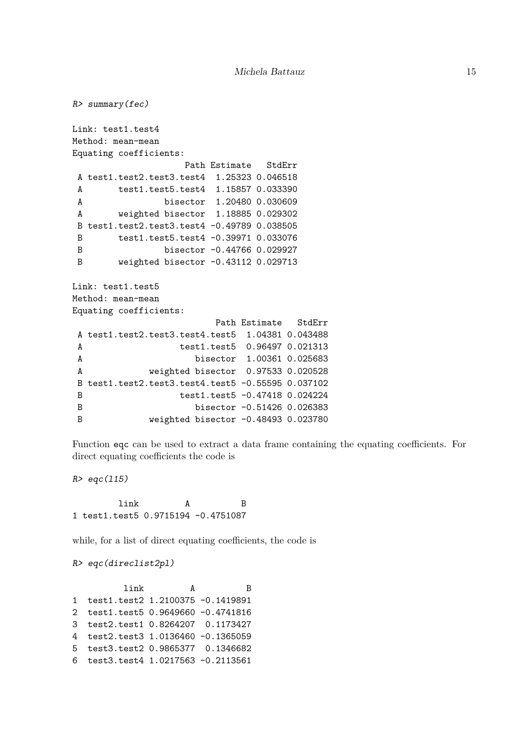```
R> summary(fec)
Link: test1.test4
Method: mean-mean
Equating coefficients:
                  Path Estimate StdErr
A test1.test2.test3.test4 1.25323 0.046518
A test1.test5.test4 1.15857 0.033390
A bisector 1.20480 0.030609
A weighted bisector 1.18885 0.029302
B test1.test2.test3.test4 -0.49789 0.038505
B test1.test5.test4 -0.39971 0.033076
B bisector -0.44766 0.029927
B weighted bisector -0.43112 0.029713
Link: test1.test5
Method: mean-mean
Equating coefficients:
                       Path Estimate StdErr
A test1.test2.test3.test4.test5 1.04381 0.043488
A test1.test5 0.96497 0.021313
A bisector 1.00361 0.025683
A weighted bisector 0.97533 0.020528
B test1.test2.test3.test4.test5 -0.55595 0.037102
B test1.test5 -0.47418 0.024224
B bisector -0.51426 0.026383
B weighted bisector -0.48493 0.023780
```
Function eqc can be used to extract a data frame containing the equating coefficients. For direct equating coefficients the code is

*R> eqc(l15)*

link A B 1 test1.test5 0.9715194 -0.4751087

while, for a list of direct equating coefficients, the code is

*R> eqc(direclist2pl)*

link A B 1 test1.test2 1.2100375 -0.1419891 2 test1.test5 0.9649660 -0.4741816 3 test2.test1 0.8264207 0.1173427 4 test2.test3 1.0136460 -0.1365059 5 test3.test2 0.9865377 0.1346682 6 test3.test4 1.0217563 -0.2113561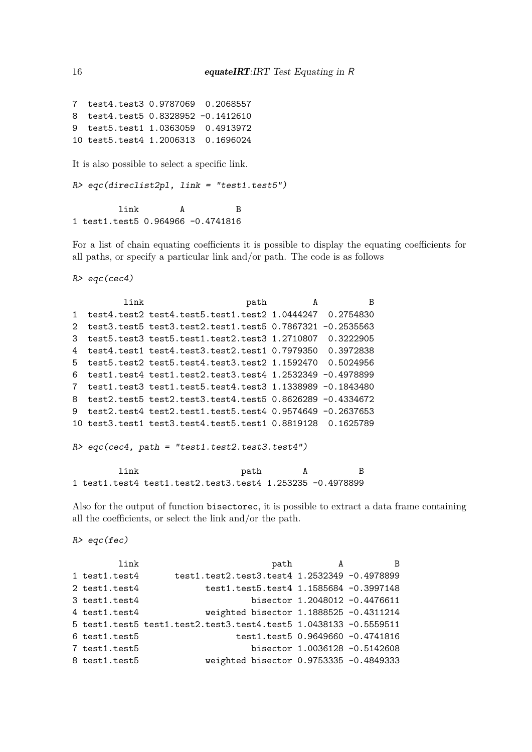7 test4.test3 0.9787069 0.2068557 8 test4.test5 0.8328952 -0.1412610 9 test5.test1 1.0363059 0.4913972 10 test5.test4 1.2006313 0.1696024

It is also possible to select a specific link.

*R> eqc(direclist2pl, link = "test1.test5")*

link A B 1 test1.test5 0.964966 -0.4741816

For a list of chain equating coefficients it is possible to display the equating coefficients for all paths, or specify a particular link and/or path. The code is as follows

*R> eqc(cec4)*

```
link bath A B
1 test4.test2 test4.test5.test1.test2 1.0444247 0.2754830
2 test3.test5 test3.test2.test1.test5 0.7867321 -0.2535563
3 test5.test3 test5.test1.test2.test3 1.2710807 0.3222905
4 test4.test1 test4.test3.test2.test1 0.7979350 0.3972838
5 test5.test2 test5.test4.test3.test2 1.1592470 0.5024956
6 test1.test4 test1.test2.test3.test4 1.2532349 -0.4978899
7 test1.test3 test1.test5.test4.test3 1.1338989 -0.1843480
8 test2.test5 test2.test3.test4.test5 0.8626289 -0.4334672
9 test2.test4 test2.test1.test5.test4 0.9574649 -0.2637653
10 test3.test1 test3.test4.test5.test1 0.8819128 0.1625789
R> eqc(cec4, path = "test1.test2.test3.test4")
```

```
link path A B
1 test1.test4 test1.test2.test3.test4 1.253235 -0.4978899
```
Also for the output of function bisectorec, it is possible to extract a data frame containing all the coefficients, or select the link and/or the path.

*R> eqc(fec)*

| link               | path                                                               | A | B.                            |
|--------------------|--------------------------------------------------------------------|---|-------------------------------|
| 1 test1.test4      | test1.test2.test3.test4 1.2532349 -0.4978899                       |   |                               |
| 2 test1.test4      | test1.test5.test4 1.1585684 -0.3997148                             |   |                               |
| $3$ test1.test $4$ |                                                                    |   | bisector 1.2048012 -0.4476611 |
| $4$ test1.test $4$ | weighted bisector 1.1888525 -0.4311214                             |   |                               |
|                    | $5$ test1.test5 test1.test2.test3.test4.test5 1.0438133 -0.5559511 |   |                               |
| $6$ test1.test $5$ | test1.test5 0.9649660 -0.4741816                                   |   |                               |
| 7 test1.test5      |                                                                    |   | bisector 1.0036128 -0.5142608 |
| 8 test1.test5      | weighted bisector 0.9753335 -0.4849333                             |   |                               |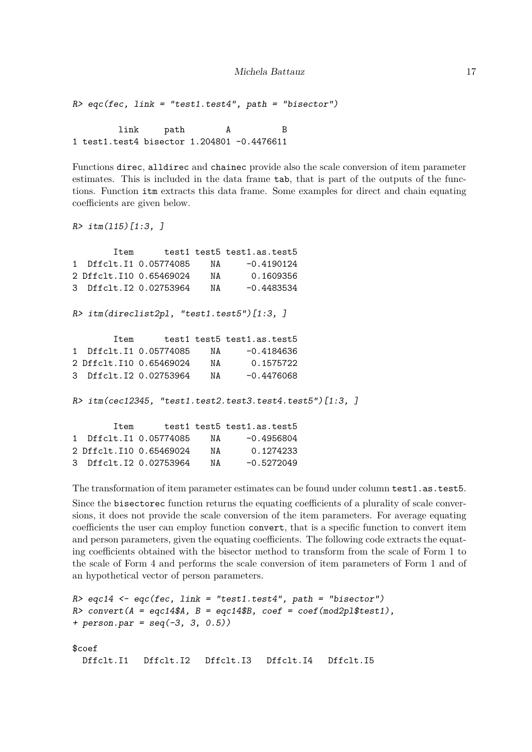*R> eqc(fec, link = "test1.test4", path = "bisector")*

link path A B 1 test1.test4 bisector 1.204801 -0.4476611

Functions direc, alldirec and chainec provide also the scale conversion of item parameter estimates. This is included in the data frame tab, that is part of the outputs of the functions. Function itm extracts this data frame. Some examples for direct and chain equating coefficients are given below.

```
R> itm(l15)[1:3, ]
```

|      |  | Item test1 test5 test1.as.test5                             |  |
|------|--|-------------------------------------------------------------|--|
|      |  | 1 Dffclt.I1 0.05774085 NA -0.4190124                        |  |
|      |  | 2 Dffclt.I10 0.65469024 NA 0.1609356                        |  |
|      |  | 3 Dffclt.I2 0.02753964 NA -0.4483534                        |  |
|      |  | $R$ > itm(direclist2pl, "test1.test5")[1:3, ]               |  |
| Item |  | test1 test5 test1.as.test5                                  |  |
|      |  | 1 Dffclt.I1 0.05774085 NA -0.4184636                        |  |
|      |  | 2 Dffclt.I10 0.65469024 NA 0.1575722                        |  |
|      |  | 3 Dffclt.I2 0.02753964 NA -0.4476068                        |  |
|      |  | $R$ > itm(cec12345, "test1.test2.test3.test4.test5")[1:3, ] |  |
|      |  | Item test1 test5 test1.as.test5                             |  |
|      |  | 1 Dffclt.I1 0.05774085 NA -0.4956804                        |  |
|      |  | 2 Dffclt.I10 0.65469024 NA 0.1274233                        |  |
|      |  | 3 Dffclt.I2 0.02753964 NA -0.5272049                        |  |

The transformation of item parameter estimates can be found under column test1.as.test5. Since the bisectorec function returns the equating coefficients of a plurality of scale conversions, it does not provide the scale conversion of the item parameters. For average equating coefficients the user can employ function convert, that is a specific function to convert item and person parameters, given the equating coefficients. The following code extracts the equating coefficients obtained with the bisector method to transform from the scale of Form 1 to the scale of Form 4 and performs the scale conversion of item parameters of Form 1 and of an hypothetical vector of person parameters.

```
R> eqc14 <- eqc(fec, link = "test1.test4", path = "bisector")
R> convert(A = eqc14$A, B = eqc14$B, coef = coef(mod2pl$test1),
+ person.par = seq(-3, 3, 0.5))
$coef
 Dffclt.I1 Dffclt.I2 Dffclt.I3 Dffclt.I4 Dffclt.I5
```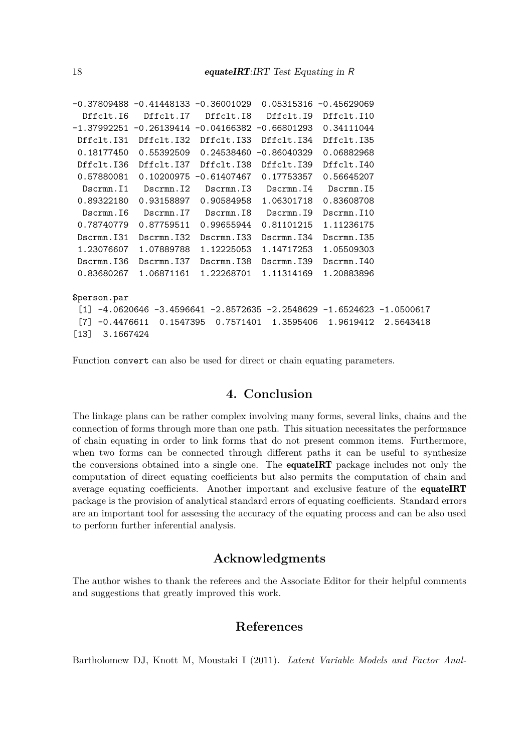```
-0.37809488 -0.41448133 -0.36001029 0.05315316 -0.45629069
 Dffclt.I6 Dffclt.I7 Dffclt.I8 Dffclt.I9 Dffclt.I10
-1.37992251 -0.26139414 -0.04166382 -0.66801293 0.34111044
Dffclt.I31 Dffclt.I32 Dffclt.I33 Dffclt.I34 Dffclt.I35
0.18177450 0.55392509 0.24538460 -0.86040329 0.06882968
Dffclt.I36 Dffclt.I37 Dffclt.I38 Dffclt.I39 Dffclt.I40
0.57880081 0.10200975 -0.61407467 0.17753357 0.56645207
 Dscrmn.I1 Dscrmn.I2 Dscrmn.I3 Dscrmn.I4 Dscrmn.I5
 0.89322180 0.93158897 0.90584958 1.06301718 0.83608708
 Dscrmn.I6 Dscrmn.I7 Dscrmn.I8 Dscrmn.I9 Dscrmn.I10
 0.78740779 0.87759511 0.99655944 0.81101215 1.11236175
Dscrmn.I31 Dscrmn.I32 Dscrmn.I33 Dscrmn.I34 Dscrmn.I35
 1.23076607 1.07889788 1.12225053 1.14717253 1.05509303
Dscrmn.I36 Dscrmn.I37 Dscrmn.I38 Dscrmn.I39 Dscrmn.I40
0.83680267 1.06871161 1.22268701 1.11314169 1.20883896
$person.par
 [1] -4.0620646 -3.4596641 -2.8572635 -2.2548629 -1.6524623 -1.0500617
 [7] -0.4476611 0.1547395 0.7571401 1.3595406 1.9619412 2.5643418
[13] 3.1667424
```
Function convert can also be used for direct or chain equating parameters.

# **4. Conclusion**

<span id="page-17-0"></span>The linkage plans can be rather complex involving many forms, several links, chains and the connection of forms through more than one path. This situation necessitates the performance of chain equating in order to link forms that do not present common items. Furthermore, when two forms can be connected through different paths it can be useful to synthesize the conversions obtained into a single one. The equateIRT package includes not only the computation of direct equating coefficients but also permits the computation of chain and average equating coefficients. Another important and exclusive feature of the **equateIRT** package is the provision of analytical standard errors of equating coefficients. Standard errors are an important tool for assessing the accuracy of the equating process and can be also used to perform further inferential analysis.

# **Acknowledgments**

The author wishes to thank the referees and the Associate Editor for their helpful comments and suggestions that greatly improved this work.

# **References**

<span id="page-17-1"></span>Bartholomew DJ, Knott M, Moustaki I (2011). *Latent Variable Models and Factor Anal-*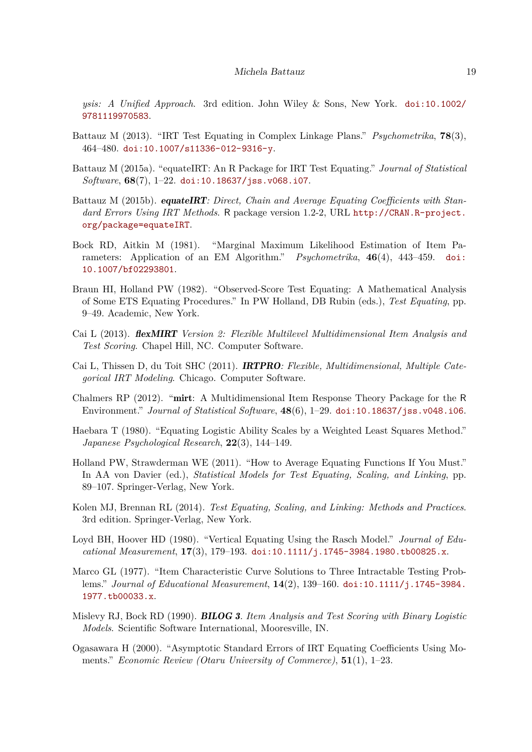*ysis: A Unified Approach*. 3rd edition. John Wiley & Sons, New York. [doi:10.1002/](http://dx.doi.org/10.1002/9781119970583) [9781119970583](http://dx.doi.org/10.1002/9781119970583).

- <span id="page-18-8"></span>Battauz M (2013). "IRT Test Equating in Complex Linkage Plans." *Psychometrika*, **78**(3), 464–480. [doi:10.1007/s11336-012-9316-y](http://dx.doi.org/10.1007/s11336-012-9316-y).
- <span id="page-18-0"></span>Battauz M (2015a). "equateIRT: An R Package for IRT Test Equating." *Journal of Statistical Software*, **68**(7), 1–22. [doi:10.18637/jss.v068.i07](http://dx.doi.org/10.18637/jss.v068.i07).
- <span id="page-18-2"></span>Battauz M (2015b). equateIRT*: Direct, Chain and Average Equating Coefficients with Standard Errors Using IRT Methods*. R package version 1.2-2, URL [http://CRAN.R-project.](http://CRAN.R-project.org/package=equateIRT) [org/package=equateIRT](http://CRAN.R-project.org/package=equateIRT).
- <span id="page-18-13"></span>Bock RD, Aitkin M (1981). "Marginal Maximum Likelihood Estimation of Item Parameters: Application of an EM Algorithm." *Psychometrika*, **46**(4), 443–459. [doi:](http://dx.doi.org/10.1007/bf02293801) [10.1007/bf02293801](http://dx.doi.org/10.1007/bf02293801).
- <span id="page-18-14"></span>Braun HI, Holland PW (1982). "Observed-Score Test Equating: A Mathematical Analysis of Some ETS Equating Procedures." In PW Holland, DB Rubin (eds.), *Test Equating*, pp. 9–49. Academic, New York.
- <span id="page-18-10"></span>Cai L (2013). flexMIRT *Version 2: Flexible Multilevel Multidimensional Item Analysis and Test Scoring*. Chapel Hill, NC. Computer Software.
- <span id="page-18-11"></span>Cai L, Thissen D, du Toit SHC (2011). IRTPRO*: Flexible, Multidimensional, Multiple Categorical IRT Modeling*. Chicago. Computer Software.
- <span id="page-18-12"></span>Chalmers RP (2012). "mirt: A Multidimensional Item Response Theory Package for the R Environment." *Journal of Statistical Software*, **48**(6), 1–29. [doi:10.18637/jss.v048.i06](http://dx.doi.org/10.18637/jss.v048.i06).
- <span id="page-18-6"></span>Haebara T (1980). "Equating Logistic Ability Scales by a Weighted Least Squares Method." *Japanese Psychological Research*, **22**(3), 144–149.
- <span id="page-18-7"></span>Holland PW, Strawderman WE (2011). "How to Average Equating Functions If You Must." In AA von Davier (ed.), *Statistical Models for Test Equating, Scaling, and Linking*, pp. 89–107. Springer-Verlag, New York.
- <span id="page-18-1"></span>Kolen MJ, Brennan RL (2014). *Test Equating, Scaling, and Linking: Methods and Practices*. 3rd edition. Springer-Verlag, New York.
- <span id="page-18-4"></span>Loyd BH, Hoover HD (1980). "Vertical Equating Using the Rasch Model." *Journal of Educational Measurement*, **17**(3), 179–193. [doi:10.1111/j.1745-3984.1980.tb00825.x](http://dx.doi.org/10.1111/j.1745-3984.1980.tb00825.x).
- <span id="page-18-3"></span>Marco GL (1977). "Item Characteristic Curve Solutions to Three Intractable Testing Problems." *Journal of Educational Measurement*, **14**(2), 139–160. [doi:10.1111/j.1745-3984.](http://dx.doi.org/10.1111/j.1745-3984.1977.tb00033.x) [1977.tb00033.x](http://dx.doi.org/10.1111/j.1745-3984.1977.tb00033.x).
- <span id="page-18-5"></span>Mislevy RJ, Bock RD (1990). BILOG 3*. Item Analysis and Test Scoring with Binary Logistic Models*. Scientific Software International, Mooresville, IN.
- <span id="page-18-9"></span>Ogasawara H (2000). "Asymptotic Standard Errors of IRT Equating Coefficients Using Moments." *Economic Review (Otaru University of Commerce)*, **51**(1), 1–23.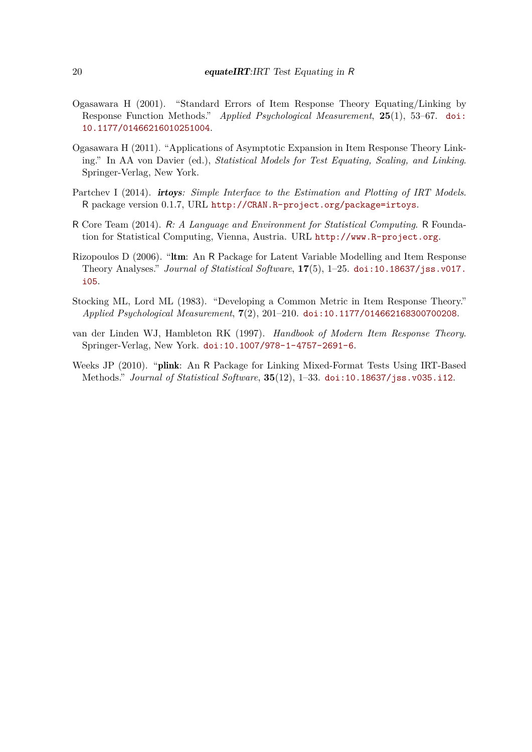- <span id="page-19-4"></span>Ogasawara H (2001). "Standard Errors of Item Response Theory Equating/Linking by Response Function Methods." *Applied Psychological Measurement*, **25**(1), 53–67. [doi:](http://dx.doi.org/10.1177/01466216010251004) [10.1177/01466216010251004](http://dx.doi.org/10.1177/01466216010251004).
- <span id="page-19-3"></span>Ogasawara H (2011). "Applications of Asymptotic Expansion in Item Response Theory Linking." In AA von Davier (ed.), *Statistical Models for Test Equating, Scaling, and Linking*. Springer-Verlag, New York.
- <span id="page-19-6"></span>Partchev I (2014). irtoys*: Simple Interface to the Estimation and Plotting of IRT Models*. R package version 0.1.7, URL <http://CRAN.R-project.org/package=irtoys>.
- <span id="page-19-0"></span>R Core Team (2014). R*: A Language and Environment for Statistical Computing*. R Foundation for Statistical Computing, Vienna, Austria. URL <http://www.R-project.org>.
- <span id="page-19-5"></span>Rizopoulos D (2006). "ltm: An R Package for Latent Variable Modelling and Item Response Theory Analyses." *Journal of Statistical Software*, **17**(5), 1–25. [doi:10.18637/jss.v017.](http://dx.doi.org/10.18637/jss.v017.i05) [i05](http://dx.doi.org/10.18637/jss.v017.i05).
- <span id="page-19-2"></span>Stocking ML, Lord ML (1983). "Developing a Common Metric in Item Response Theory." *Applied Psychological Measurement*, **7**(2), 201–210. [doi:10.1177/014662168300700208](http://dx.doi.org/10.1177/014662168300700208).
- <span id="page-19-1"></span>van der Linden WJ, Hambleton RK (1997). *Handbook of Modern Item Response Theory*. Springer-Verlag, New York. [doi:10.1007/978-1-4757-2691-6](http://dx.doi.org/10.1007/978-1-4757-2691-6).
- <span id="page-19-7"></span>Weeks JP (2010). "plink: An R Package for Linking Mixed-Format Tests Using IRT-Based Methods." *Journal of Statistical Software*, **35**(12), 1–33. [doi:10.18637/jss.v035.i12](http://dx.doi.org/10.18637/jss.v035.i12).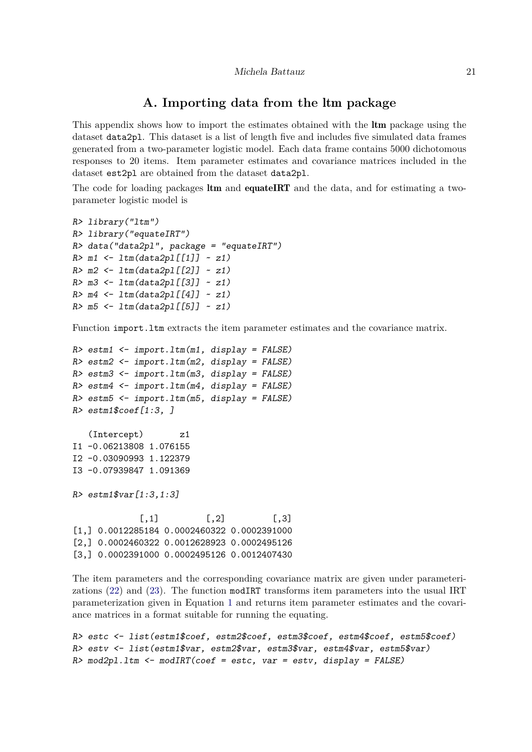# **A. Importing data from the** ltm **package**

<span id="page-20-0"></span>This appendix shows how to import the estimates obtained with the **ltm** package using the dataset data2pl. This dataset is a list of length five and includes five simulated data frames generated from a two-parameter logistic model. Each data frame contains 5000 dichotomous responses to 20 items. Item parameter estimates and covariance matrices included in the dataset est2pl are obtained from the dataset data2pl.

The code for loading packages **ltm** and **equateIRT** and the data, and for estimating a twoparameter logistic model is

```
R> library("ltm")
R> library("equateIRT")
R> data("data2pl", package = "equateIRT")
R> m1 <- ltm(data2pl[[1]] ~ z1)
R> m2 <- ltm(data2pl[[2]] ~ z1)
R> m3 <- ltm(data2pl[[3]] ~ z1)
R> m4 <- ltm(data2pl[[4]] ~ z1)
R> m5 <- ltm(data2pl[[5]] ~ z1)
```
Function import. It m extracts the item parameter estimates and the covariance matrix.

```
R> estm1 <- import.ltm(m1, display = FALSE)
R> estm2 <- import.ltm(m2, display = FALSE)
R> estm3 <- import.ltm(m3, display = FALSE)
R> estm4 <- import.ltm(m4, display = FALSE)
R> estm5 <- import.ltm(m5, display = FALSE)
R> estm1$coef[1:3, ]
   (Intercept) z1
I1 -0.06213808 1.076155
I2 -0.03090993 1.122379
I3 -0.07939847 1.091369
R> estm1$var[1:3,1:3]
             [,1] [,2] [,3]
[1,] 0.0012285184 0.0002460322 0.0002391000
[2,] 0.0002460322 0.0012628923 0.0002495126
[3,] 0.0002391000 0.0002495126 0.0012407430
```
The item parameters and the corresponding covariance matrix are given under parameterizations [\(22\)](#page-7-1) and [\(23\)](#page-7-0). The function modIRT transforms item parameters into the usual IRT parameterization given in Equation [1](#page-2-1) and returns item parameter estimates and the covariance matrices in a format suitable for running the equating.

```
R> estc <- list(estm1$coef, estm2$coef, estm3$coef, estm4$coef, estm5$coef)
R> estv <- list(estm1$var, estm2$var, estm3$var, estm4$var, estm5$var)
R> mod2pl.ltm <- modIRT(coef = estc, var = estv, display = FALSE)
```